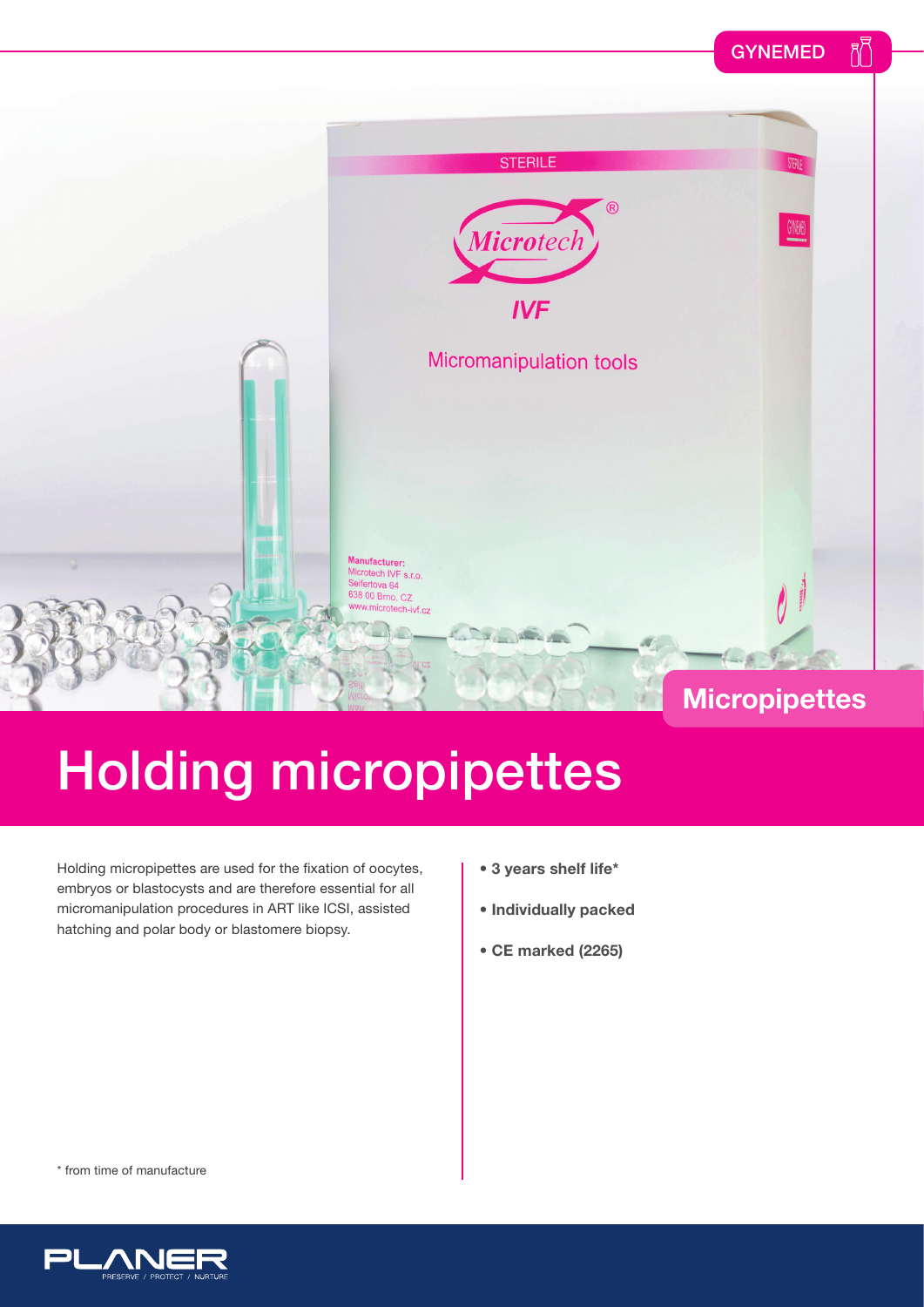#### $R^{\overline{F}}$ **GYNEMED**



## Holding micropipettes

Holding micropipettes are used for the fixation of oocytes, embryos or blastocysts and are therefore essential for all micromanipulation procedures in ART like ICSI, assisted hatching and polar body or blastomere biopsy.

- **3 years shelf life\***
- **Individually packed**
- **CE marked (2265)**

\* from time of manufacture